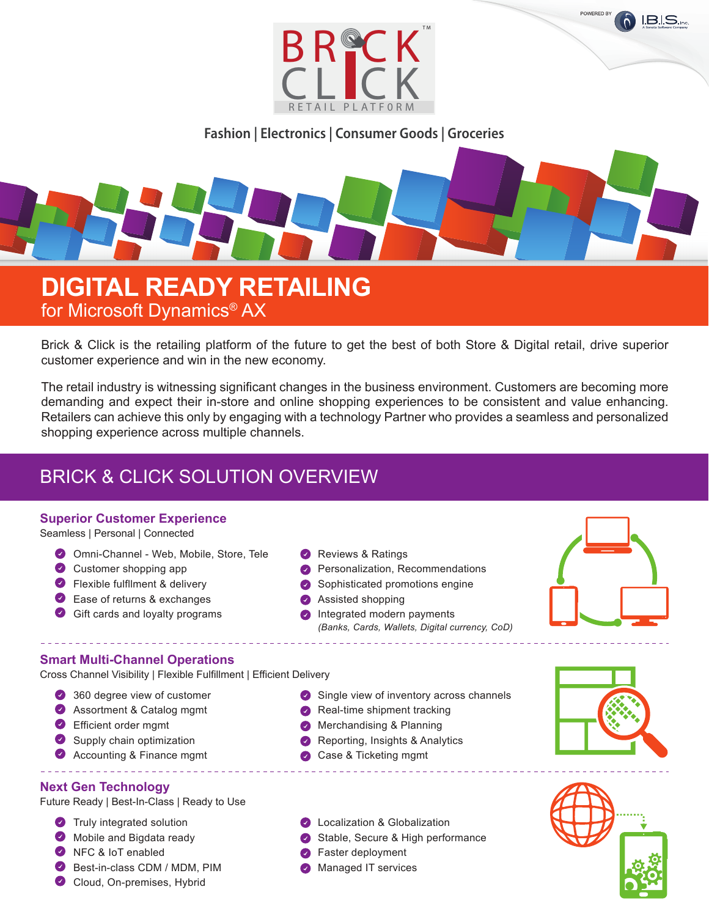

**Fashion | Electronics | Consumer Goods | Groceries**

# **DIGITAL READY RETAILING** for Microsoft Dynamics® AX

Brick & Click is the retailing platform of the future to get the best of both Store & Digital retail, drive superior customer experience and win in the new economy.

The retail industry is witnessing significant changes in the business environment. Customers are becoming more demanding and expect their in-store and online shopping experiences to be consistent and value enhancing. Retailers can achieve this only by engaging with a technology Partner who provides a seamless and personalized shopping experience across multiple channels.

# BRICK & CLICK SOLUTION OVERVIEW

#### **Superior Customer Experience**

Seamless | Personal | Connected

- Omni-Channel Web, Mobile, Store, Tele
- **Customer shopping app**
- **P** Flexible fulfilment & delivery
- Ease of returns & exchanges
- Gift cards and loyalty programs
- Reviews & Ratings
- **Personalization, Recommendations**
- Sophisticated promotions engine
- **Assisted shopping**
- **C** Integrated modern payments *(Banks, Cards, Wallets, Digital currency, CoD)*

#### **Smart Multi-Channel Operations**

Cross Channel Visibility | Flexible Fulfillment | Efficient Delivery

- 360 degree view of customer
- Assortment & Catalog mgmt
- Efficient order mgmt
- Supply chain optimization
- **Accounting & Finance mgmt**

#### **Next Gen Technology**

Future Ready | Best-In-Class | Ready to Use

- **Truly integrated solution**
- Mobile and Bigdata ready
- NFC & IoT enabled
- Best-in-class CDM / MDM, PIM
- Cloud, On-premises, Hybrid
- Single view of inventory across channels
- **Real-time shipment tracking**
- **Merchandising & Planning**
- Reporting, Insights & Analytics
- Case & Ticketing mgmt
- **C** Localization & Globalization
- Stable, Secure & High performance
	- **S** Faster deployment
- **Managed IT services**



POWERED BY

**I.B.I.S.**